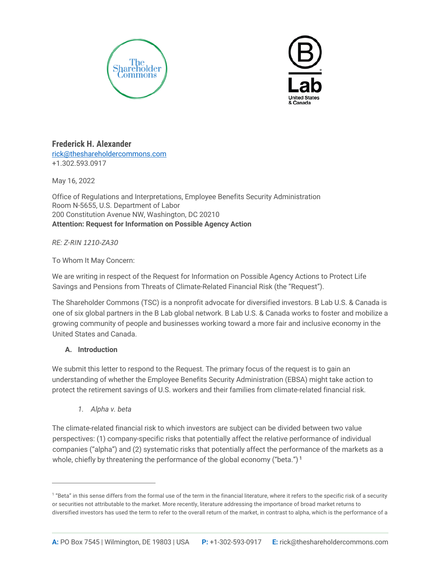



# **Frederick H. Alexander**

[rick@theshareholdercommons.com](mailto:rick@theshareholdercommons.com) +1.302.593.0917

May 16, 2022

Office of Regulations and Interpretations, Employee Benefits Security Administration Room N-5655, U.S. Department of Labor 200 Constitution Avenue NW, Washington, DC 20210 **Attention: Request for Information on Possible Agency Action**

*RE: Z-RIN 1210-ZA30*

To Whom It May Concern:

We are writing in respect of the Request for Information on Possible Agency Actions to Protect Life Savings and Pensions from Threats of Climate-Related Financial Risk (the "Request").

The Shareholder Commons (TSC) is a nonprofit advocate for diversified investors. B Lab U.S. & Canada is one of six global partners in the B Lab global network. B Lab U.S. & Canada works to foster and mobilize a growing community of people and businesses working toward a more fair and inclusive economy in the United States and Canada.

## **A. Introduction**

We submit this letter to respond to the Request. The primary focus of the request is to gain an understanding of whether the Employee Benefits Security Administration (EBSA) might take action to protect the retirement savings of U.S. workers and their families from climate-related financial risk.

*1. Alpha v. beta*

The climate-related financial risk to which investors are subject can be divided between two value perspectives: (1) company-specific risks that potentially affect the relative performance of individual companies ("alpha") and (2) systematic risks that potentially affect the performance of the markets as a whole, chiefly by threatening the performance of the global economy ("beta.")<sup>1</sup>

<sup>&</sup>lt;sup>1</sup> "Beta" in this sense differs from the formal use of the term in the financial literature, where it refers to the specific risk of a security or securities not attributable to the market. More recently, literature addressing the importance of broad market returns to diversified investors has used the term to refer to the overall return of the market, in contrast to alpha, which is the performance of a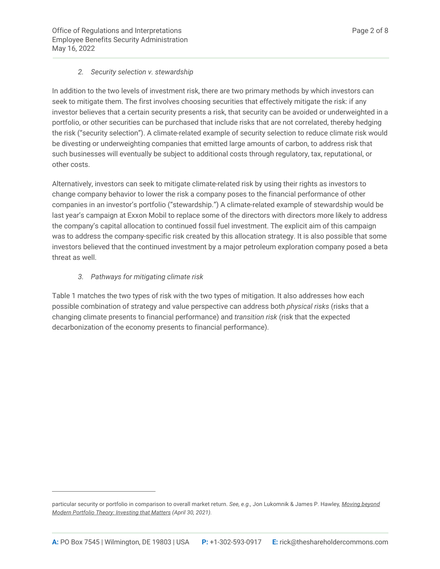## *2. Security selection v. stewardship*

In addition to the two levels of investment risk, there are two primary methods by which investors can seek to mitigate them. The first involves choosing securities that effectively mitigate the risk: if any investor believes that a certain security presents a risk, that security can be avoided or underweighted in a portfolio, or other securities can be purchased that include risks that are not correlated, thereby hedging the risk ("security selection"). A climate-related example of security selection to reduce climate risk would be divesting or underweighting companies that emitted large amounts of carbon, to address risk that such businesses will eventually be subject to additional costs through regulatory, tax, reputational, or other costs.

Alternatively, investors can seek to mitigate climate-related risk by using their rights as investors to change company behavior to lower the risk a company poses to the financial performance of other companies in an investor's portfolio ("stewardship.") A climate-related example of stewardship would be last year's campaign at Exxon Mobil to replace some of the directors with directors more likely to address the company's capital allocation to continued fossil fuel investment. The explicit aim of this campaign was to address the company-specific risk created by this allocation strategy. It is also possible that some investors believed that the continued investment by a major petroleum exploration company posed a beta threat as well.

## *3. Pathways for mitigating climate risk*

Table 1 matches the two types of risk with the two types of mitigation. It also addresses how each possible combination of strategy and value perspective can address both *physical risks* (risks that a changing climate presents to financial performance) and *transition risk* (risk that the expected decarbonization of the economy presents to financial performance).

particular security or portfolio in comparison to overall market return. *See, e.g.,* Jon Lukomnik & James P. Hawley*, Moving beyond Modern Portfolio Theory: Investing that Matters (April 30, 2021).*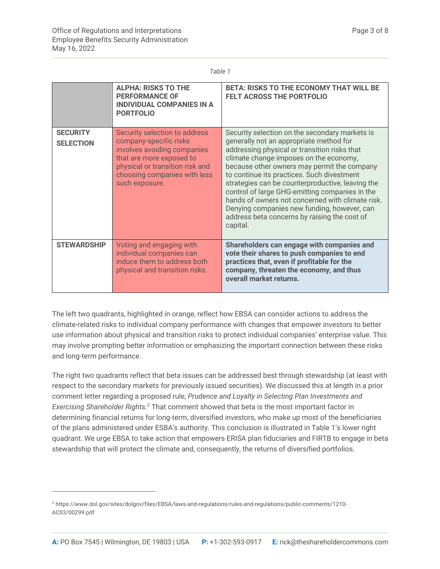| <br>۰, | I |  |
|--------|---|--|

|                                     | <b>ALPHA: RISKS TO THE</b><br><b>PERFORMANCE OF</b><br><b>INDIVIDUAL COMPANIES IN A</b><br><b>PORTFOLIO</b>                                                                                             | <b>BETA: RISKS TO THE ECONOMY THAT WILL BE</b><br><b>FELT ACROSS THE PORTFOLIO</b>                                                                                                                                                                                                                                                                                                                                                                                                                                                                    |
|-------------------------------------|---------------------------------------------------------------------------------------------------------------------------------------------------------------------------------------------------------|-------------------------------------------------------------------------------------------------------------------------------------------------------------------------------------------------------------------------------------------------------------------------------------------------------------------------------------------------------------------------------------------------------------------------------------------------------------------------------------------------------------------------------------------------------|
| <b>SECURITY</b><br><b>SELECTION</b> | Security selection to address<br>company-specific risks<br>involves avoiding companies<br>that are more exposed to<br>physical or transition risk and<br>choosing companies with less<br>such exposure. | Security selection on the secondary markets is<br>generally not an appropriate method for<br>addressing physical or transition risks that<br>climate change imposes on the economy,<br>because other owners may permit the company<br>to continue its practices. Such divestment<br>strategies can be counterproductive, leaving the<br>control of large GHG-emitting companies in the<br>hands of owners not concerned with climate risk.<br>Denying companies new funding, however, can<br>address beta concerns by raising the cost of<br>capital. |
| <b>STEWARDSHIP</b>                  | Voting and engaging with<br>individual companies can<br>induce them to address both<br>physical and transition risks.                                                                                   | Shareholders can engage with companies and<br>vote their shares to push companies to end<br>practices that, even if profitable for the<br>company, threaten the economy, and thus<br>overall market returns.                                                                                                                                                                                                                                                                                                                                          |

The left two quadrants, highlighted in orange, reflect how EBSA can consider actions to address the climate-related risks to individual company performance with changes that empower investors to better use information about physical and transition risks to protect individual companies' enterprise value. This may involve prompting better information or emphasizing the important connection between these risks and long-term performance.

The right two quadrants reflect that beta issues can be addressed best through stewardship (at least with respect to the secondary markets for previously issued securities). We discussed this at length in a prior comment letter regarding a proposed rule, *Prudence and Loyalty in Selecting Plan Investments and Exercising Shareholder Rights. <sup>2</sup>* That comment showed that beta is the most important factor in determining financial returns for long-term, diversified investors, who make up most of the beneficiaries of the plans administered under ESBA's authority. This conclusion is illustrated in Table 1's lower right quadrant. We urge EBSA to take action that empowers ERISA plan fiduciaries and FIRTB to engage in beta stewardship that will protect the climate and, consequently, the returns of diversified portfolios.

<sup>2</sup> https://www.dol.gov/sites/dolgov/files/EBSA/laws-and-regulations/rules-and-regulations/public-comments/1210- AC03/00299.pdf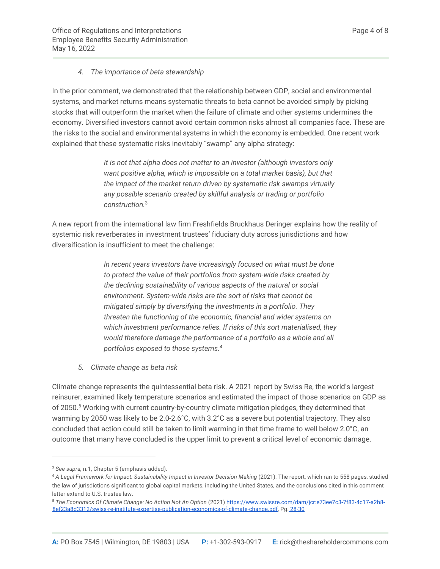#### *4. The importance of beta stewardship*

In the prior comment, we demonstrated that the relationship between GDP, social and environmental systems, and market returns means systematic threats to beta cannot be avoided simply by picking stocks that will outperform the market when the failure of climate and other systems undermines the economy. Diversified investors cannot avoid certain common risks almost all companies face. These are the risks to the social and environmental systems in which the economy is embedded. One recent work explained that these systematic risks inevitably "swamp" any alpha strategy:

> *It is not that alpha does not matter to an investor (although investors only want positive alpha, which is impossible on a total market basis), but that the impact of the market return driven by systematic risk swamps virtually any possible scenario created by skillful analysis or trading or portfolio construction.*<sup>3</sup>

A new report from the international law firm Freshfields Bruckhaus Deringer explains how the reality of systemic risk reverberates in investment trustees' fiduciary duty across jurisdictions and how diversification is insufficient to meet the challenge:

> *In recent years investors have increasingly focused on what must be done to protect the value of their portfolios from system-wide risks created by the declining sustainability of various aspects of the natural or social environment. System-wide risks are the sort of risks that cannot be mitigated simply by diversifying the investments in a portfolio. They threaten the functioning of the economic, financial and wider systems on which investment performance relies. If risks of this sort materialised, they would therefore damage the performance of a portfolio as a whole and all portfolios exposed to those systems.4*

*5. Climate change as beta risk*

Climate change represents the quintessential beta risk. A 2021 report by Swiss Re, the world's largest reinsurer, examined likely temperature scenarios and estimated the impact of those scenarios on GDP as of 2050.5 Working with current country-by-country climate mitigation pledges, they determined that warming by 2050 was likely to be 2.0-2.6°C, with 3.2°C as a severe but potential trajectory. They also concluded that action could still be taken to limit warming in that time frame to well below 2.0°C, an outcome that many have concluded is the upper limit to prevent a critical level of economic damage.

<sup>3</sup> *See supra,* n.1, Chapter 5 (emphasis added).

<sup>&</sup>lt;sup>4</sup> A Legal Framework for Impact: Sustainability Impact in Investor Decision-Making (2021). The report, which ran to 558 pages, studied the law of jurisdictions significant to global capital markets, including the United States, and the conclusions cited in this comment letter extend to U.S. trustee law.

<sup>5</sup> *The Economics Of Climate Change: No Action Not An Option* (2021) https://www.swissre.com/dam/jcr:e73ee7c3-7f83-4c17-a2b8- 8ef23a8d3312/swiss-re-institute-expertise-publication-economics-of-climate-change.pdf, Pg. 28-30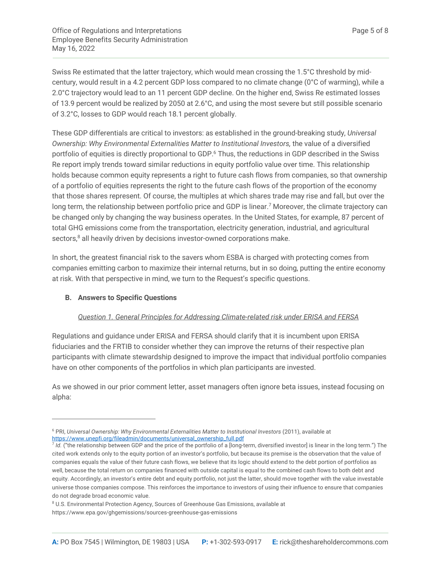Swiss Re estimated that the latter trajectory, which would mean crossing the 1.5°C threshold by midcentury, would result in a 4.2 percent GDP loss compared to no climate change (0°C of warming), while a 2.0°C trajectory would lead to an 11 percent GDP decline. On the higher end, Swiss Re estimated losses of 13.9 percent would be realized by 2050 at 2.6°C, and using the most severe but still possible scenario of 3.2°C, losses to GDP would reach 18.1 percent globally.

These GDP differentials are critical to investors: as established in the ground-breaking study, *Universal Ownership: Why Environmental Externalities Matter to Institutional Investors,* the value of a diversified portfolio of equities is directly proportional to GDP.<sup>6</sup> Thus, the reductions in GDP described in the Swiss Re report imply trends toward similar reductions in equity portfolio value over time. This relationship holds because common equity represents a right to future cash flows from companies, so that ownership of a portfolio of equities represents the right to the future cash flows of the proportion of the economy that those shares represent. Of course, the multiples at which shares trade may rise and fall, but over the long term, the relationship between portfolio price and GDP is linear.<sup>7</sup> Moreover, the climate trajectory can be changed only by changing the way business operates. In the United States, for example, 87 percent of total GHG emissions come from the transportation, electricity generation, industrial, and agricultural sectors,<sup>8</sup> all heavily driven by decisions investor-owned corporations make.

In short, the greatest financial risk to the savers whom ESBA is charged with protecting comes from companies emitting carbon to maximize their internal returns, but in so doing, putting the entire economy at risk. With that perspective in mind, we turn to the Request's specific questions.

#### **B. Answers to Specific Questions**

#### *Question 1. General Principles for Addressing Climate-related risk under ERISA and FERSA*

Regulations and guidance under ERISA and FERSA should clarify that it is incumbent upon ERISA fiduciaries and the FRTIB to consider whether they can improve the returns of their respective plan participants with climate stewardship designed to improve the impact that individual portfolio companies have on other components of the portfolios in which plan participants are invested.

As we showed in our prior comment letter, asset managers often ignore beta issues, instead focusing on alpha:

<sup>&</sup>lt;sup>6</sup> PRI, Universal Ownership: Why Environmental Externalities Matter to Institutional Investors (2011), available at https://www.unepfi.org/fileadmin/documents/universal\_ownership\_full.pdf

<sup>7</sup> *Id.* ("the relationship between GDP and the price of the portfolio of a [long-term, diversified investor] is linear in the long term.") The cited work extends only to the equity portion of an investor's portfolio, but because its premise is the observation that the value of companies equals the value of their future cash flows, we believe that its logic should extend to the debt portion of portfolios as well, because the total return on companies financed with outside capital is equal to the combined cash flows to both debt and equity. Accordingly, an investor's entire debt and equity portfolio, not just the latter, should move together with the value investable universe those companies compose. This reinforces the importance to investors of using their influence to ensure that companies do not degrade broad economic value.

<sup>&</sup>lt;sup>8</sup> U.S. Environmental Protection Agency, Sources of Greenhouse Gas Emissions, available at https://www.epa.gov/ghgemissions/sources-greenhouse-gas-emissions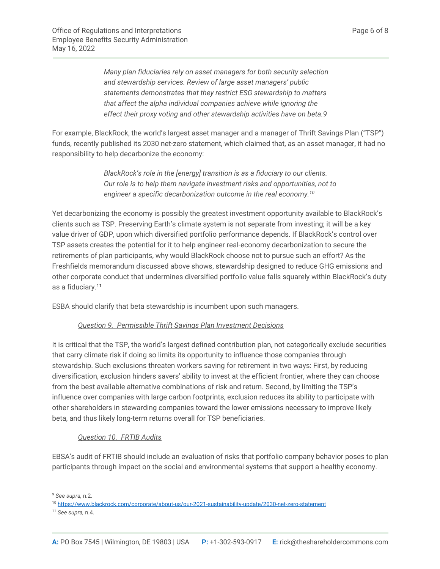*Many plan fiduciaries rely on asset managers for both security selection and stewardship services. Review of large asset managers' public statements demonstrates that they restrict ESG stewardship to matters that affect the alpha individual companies achieve while ignoring the effect their proxy voting and other stewardship activities have on beta.9*

For example, BlackRock, the world's largest asset manager and a manager of Thrift Savings Plan ("TSP") funds, recently published its 2030 net-zero statement, which claimed that, as an asset manager, it had no responsibility to help decarbonize the economy:

> *BlackRock's role in the [energy] transition is as a fiduciary to our clients. Our role is to help them navigate investment risks and opportunities, not to engineer a specific decarbonization outcome in the real economy.10*

Yet decarbonizing the economy is possibly the greatest investment opportunity available to BlackRock's clients such as TSP. Preserving Earth's climate system is not separate from investing; it will be a key value driver of GDP, upon which diversified portfolio performance depends. If BlackRock's control over TSP assets creates the potential for it to help engineer real-economy decarbonization to secure the retirements of plan participants, why would BlackRock choose not to pursue such an effort? As the Freshfields memorandum discussed above shows, stewardship designed to reduce GHG emissions and other corporate conduct that undermines diversified portfolio value falls squarely within BlackRock's duty as a fiduciary.11

ESBA should clarify that beta stewardship is incumbent upon such managers.

## *Question 9. Permissible Thrift Savings Plan Investment Decisions*

It is critical that the TSP, the world's largest defined contribution plan, not categorically exclude securities that carry climate risk if doing so limits its opportunity to influence those companies through stewardship. Such exclusions threaten workers saving for retirement in two ways: First, by reducing diversification, exclusion hinders savers' ability to invest at the efficient frontier, where they can choose from the best available alternative combinations of risk and return. Second, by limiting the TSP's influence over companies with large carbon footprints, exclusion reduces its ability to participate with other shareholders in stewarding companies toward the lower emissions necessary to improve likely beta, and thus likely long-term returns overall for TSP beneficiaries.

## *Question 10. FRTIB Audits*

EBSA's audit of FRTIB should include an evaluation of risks that portfolio company behavior poses to plan participants through impact on the social and environmental systems that support a healthy economy.

<sup>9</sup> *See supra,* n.2.

<sup>10</sup> https://www.blackrock.com/corporate/about-us/our-2021-sustainability-update/2030-net-zero-statement

<sup>11</sup> *See supra,* n.4.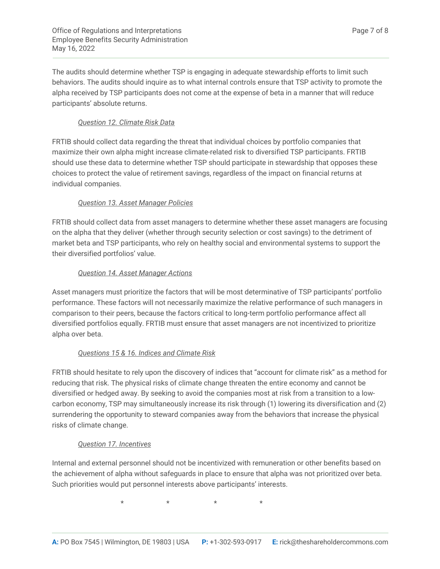The audits should determine whether TSP is engaging in adequate stewardship efforts to limit such behaviors. The audits should inquire as to what internal controls ensure that TSP activity to promote the alpha received by TSP participants does not come at the expense of beta in a manner that will reduce participants' absolute returns.

# *Question 12. Climate Risk Data*

FRTIB should collect data regarding the threat that individual choices by portfolio companies that maximize their own alpha might increase climate-related risk to diversified TSP participants. FRTIB should use these data to determine whether TSP should participate in stewardship that opposes these choices to protect the value of retirement savings, regardless of the impact on financial returns at individual companies.

## *Question 13. Asset Manager Policies*

FRTIB should collect data from asset managers to determine whether these asset managers are focusing on the alpha that they deliver (whether through security selection or cost savings) to the detriment of market beta and TSP participants, who rely on healthy social and environmental systems to support the their diversified portfolios' value.

## *Question 14. Asset Manager Actions*

Asset managers must prioritize the factors that will be most determinative of TSP participants' portfolio performance. These factors will not necessarily maximize the relative performance of such managers in comparison to their peers, because the factors critical to long-term portfolio performance affect all diversified portfolios equally. FRTIB must ensure that asset managers are not incentivized to prioritize alpha over beta.

# *Questions 15 & 16. Indices and Climate Risk*

FRTIB should hesitate to rely upon the discovery of indices that "account for climate risk" as a method for reducing that risk. The physical risks of climate change threaten the entire economy and cannot be diversified or hedged away. By seeking to avoid the companies most at risk from a transition to a lowcarbon economy, TSP may simultaneously increase its risk through (1) lowering its diversification and (2) surrendering the opportunity to steward companies away from the behaviors that increase the physical risks of climate change.

## *Question 17. Incentives*

Internal and external personnel should not be incentivized with remuneration or other benefits based on the achievement of alpha without safeguards in place to ensure that alpha was not prioritized over beta. Such priorities would put personnel interests above participants' interests.

 $\star$   $\star$   $\star$   $\star$